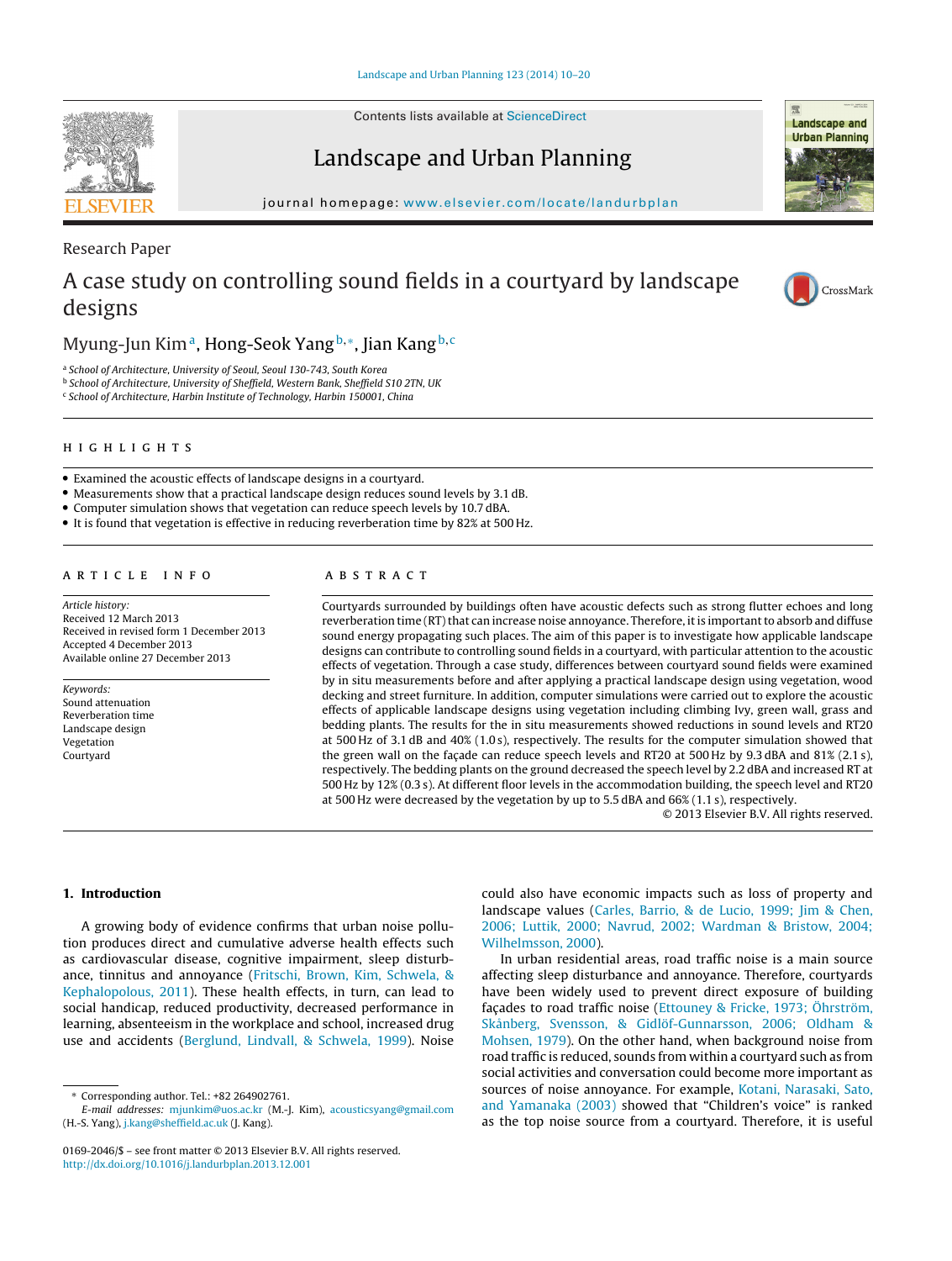Contents lists available at [ScienceDirect](http://www.sciencedirect.com/science/journal/01692046)

## Landscape and Urban Planning

jour nal homepage: [www.elsevier.com/locate/landurbplan](http://www.elsevier.com/locate/landurbplan)

### Research Paper

## A case study on controlling sound fields in a courtyard by landscape designs

## Myung-Jun Kim<sup>a</sup>, Hong-Seok Yang b,<sup>\*</sup>, Jian Kang b,<sup>c</sup>

<sup>a</sup> School of Architecture, University of Seoul, Seoul 130-743, South Korea

<sup>b</sup> School of Architecture, University of Sheffield, Western Bank, Sheffield S10 2TN, UK

<sup>c</sup> School of Architecture, Harbin Institute of Technology, Harbin 150001, China

• Examined the acoustic effects of landscape designs in a courtyard.

• Measurements show that a practical landscape design reduces sound levels by 3.1 dB.

• Computer simulation shows that vegetation can reduce speech levels by 10.7 dBA.

• It is found that vegetation is effective in reducing reverberation time by 82% at 500 Hz.

#### ARTICLE INFO

Article history: Received 12 March 2013 Received in revised form 1 December 2013 Accepted 4 December 2013 Available online 27 December 2013

Keywords: Sound attenuation Reverberation time Landscape design Vegetation Courtyard

#### A B S T R A C T

Courtyards surrounded by buildings often have acoustic defects such as strong flutter echoes and long reverberation time (RT) that can increase noise annoyance. Therefore, it is important to absorb and diffuse sound energy propagating such places. The aim of this paper is to investigate how applicable landscape designs can contribute to controlling sound fields in a courtyard, with particular attention to the acoustic effects of vegetation. Through a case study, differences between courtyard sound fields were examined by in situ measurements before and after applying a practical landscape design using vegetation, wood decking and street furniture. In addition, computer simulations were carried out to explore the acoustic effects of applicable landscape designs using vegetation including climbing Ivy, green wall, grass and bedding plants. The results for the in situ measurements showed reductions in sound levels and RT20 at 500 Hz of 3.1 dB and 40% (1.0 s), respectively. The results for the computer simulation showed that the green wall on the façade can reduce speech levels and RT20 at 500 Hz by 9.3 dBA and 81% (2.1 s), respectively. The bedding plants on the ground decreased the speech level by 2.2 dBA and increased RT at 500 Hz by 12% (0.3 s). At different floor levels in the accommodation building, the speech level and RT20 at 500 Hz were decreased by the vegetation by up to 5.5 dBA and 66% (1.1 s), respectively.

© 2013 Elsevier B.V. All rights reserved.

#### **1. Introduction**

A growing body of evidence confirms that urban noise pollution produces direct and cumulative adverse health effects such as cardiovascular disease, cognitive impairment, sleep disturbance, tinnitus and annoyance ([Fritschi,](#page--1-0) [Brown,](#page--1-0) [Kim,](#page--1-0) [Schwela,](#page--1-0) [&](#page--1-0) [Kephalopolous,](#page--1-0) [2011\).](#page--1-0) These health effects, in turn, can lead to social handicap, reduced productivity, decreased performance in learning, absenteeism in the workplace and school, increased drug use and accidents ([Berglund,](#page--1-0) [Lindvall,](#page--1-0) [&](#page--1-0) [Schwela,](#page--1-0) [1999\).](#page--1-0) Noise

could also have economic impacts such as loss of property and landscape values [\(Carles,](#page--1-0) [Barrio,](#page--1-0) [&](#page--1-0) [de](#page--1-0) [Lucio,](#page--1-0) [1999;](#page--1-0) [Jim](#page--1-0) [&](#page--1-0) [Chen,](#page--1-0) [2006;](#page--1-0) [Luttik,](#page--1-0) [2000;](#page--1-0) [Navrud,](#page--1-0) [2002;](#page--1-0) [Wardman](#page--1-0) [&](#page--1-0) [Bristow,](#page--1-0) [2004;](#page--1-0) [Wilhelmsson,](#page--1-0) [2000\).](#page--1-0)

In urban residential areas, road traffic noise is a main source affecting sleep disturbance and annoyance. Therefore, courtyards have been widely used to prevent direct exposure of building façades to road traffic noise [\(Ettouney](#page--1-0) [&](#page--1-0) [Fricke,](#page--1-0) [1973;](#page--1-0) [Öhrström,](#page--1-0) [Skånberg,](#page--1-0) [Svensson,](#page--1-0) [&](#page--1-0) [Gidlöf-Gunnarsson,](#page--1-0) [2006;](#page--1-0) [Oldham](#page--1-0) [&](#page--1-0) [Mohsen,](#page--1-0) [1979\).](#page--1-0) On the other hand, when background noise from road traffic is reduced, sounds from within a courtyard such as from social activities and conversation could become more important as sources of noise annoyance. For example, [Kotani,](#page--1-0) [Narasaki,](#page--1-0) [Sato,](#page--1-0) [and](#page--1-0) [Yamanaka](#page--1-0) [\(2003\)](#page--1-0) showed that "Children's voice" is ranked as the top noise source from a courtyard. Therefore, it is useful





CrossMark

**Landscape and Urban Planning** 

<sup>∗</sup> Corresponding author. Tel.: +82 264902761.

E-mail addresses: [mjunkim@uos.ac.kr](mailto:mjunkim@uos.ac.kr) (M.-J. Kim), [acousticsyang@gmail.com](mailto:acousticsyang@gmail.com) (H.-S. Yang), [j.kang@sheffield.ac.uk](mailto:j.kang@sheffield.ac.uk) (J. Kang).

<sup>0169-2046/\$</sup> – see front matter © 2013 Elsevier B.V. All rights reserved. [http://dx.doi.org/10.1016/j.landurbplan.2013.12.001](dx.doi.org/10.1016/j.landurbplan.2013.12.001)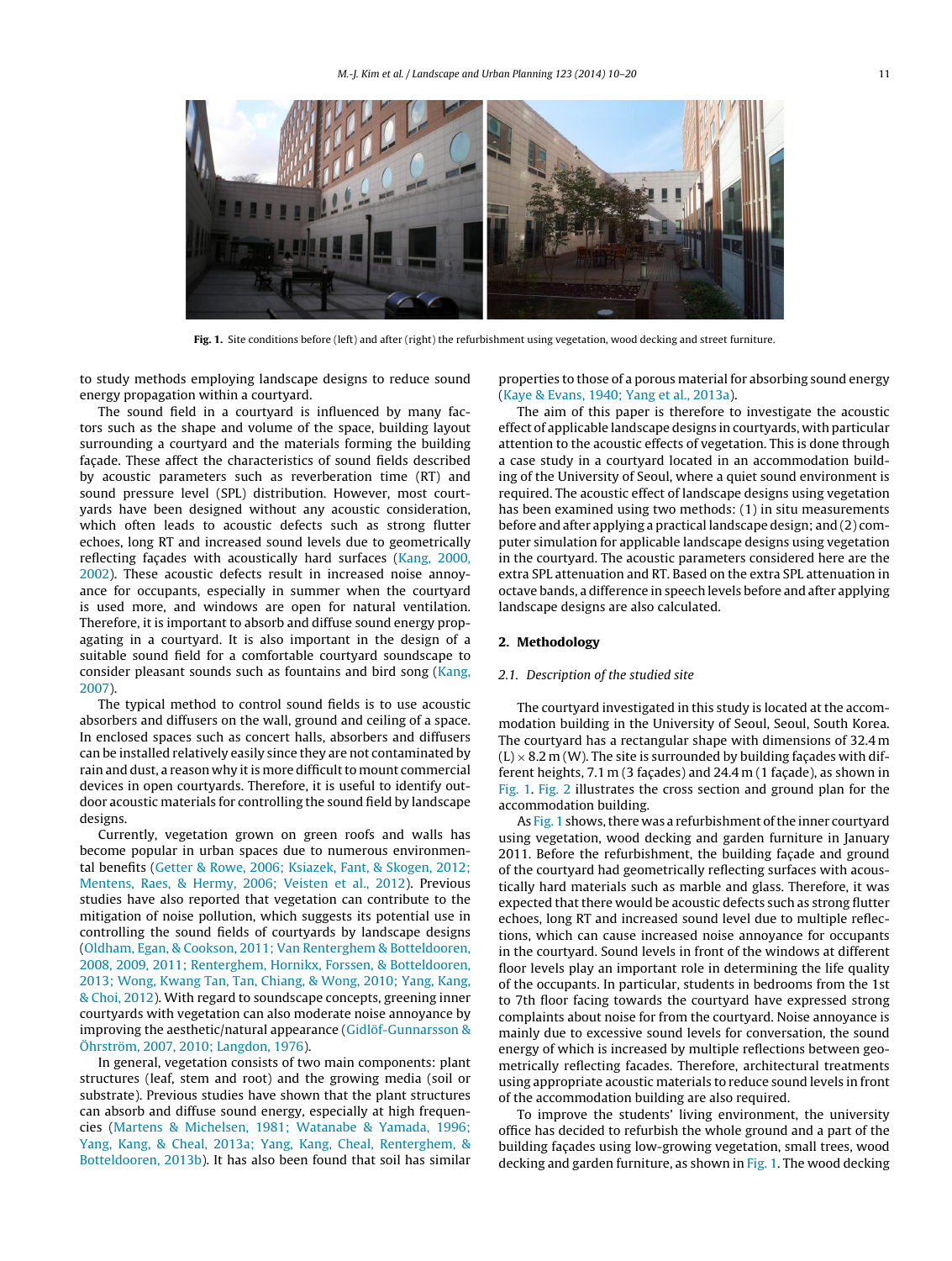

**Fig. 1.** Site conditions before (left) and after (right) the refurbishment using vegetation, wood decking and street furniture.

to study methods employing landscape designs to reduce sound energy propagation within a courtyard.

The sound field in a courtyard is influenced by many factors such as the shape and volume of the space, building layout surrounding a courtyard and the materials forming the building façade. These affect the characteristics of sound fields described by acoustic parameters such as reverberation time (RT) and sound pressure level (SPL) distribution. However, most courtyards have been designed without any acoustic consideration, which often leads to acoustic defects such as strong flutter echoes, long RT and increased sound levels due to geometrically reflecting facades with acoustically hard surfaces ([Kang,](#page--1-0) [2000,](#page--1-0) [2002\).](#page--1-0) These acoustic defects result in increased noise annoyance for occupants, especially in summer when the courtyard is used more, and windows are open for natural ventilation. Therefore, it is important to absorb and diffuse sound energy propagating in a courtyard. It is also important in the design of a suitable sound field for a comfortable courtyard soundscape to consider pleasant sounds such as fountains and bird song [\(Kang,](#page--1-0) [2007\).](#page--1-0)

The typical method to control sound fields is to use acoustic absorbers and diffusers on the wall, ground and ceiling of a space. In enclosed spaces such as concert halls, absorbers and diffusers can be installed relatively easily since they are not contaminated by rain and dust, a reason why it is more difficult to mount commercial devices in open courtyards. Therefore, it is useful to identify outdoor acoustic materials for controlling the sound field by landscape designs.

Currently, vegetation grown on green roofs and walls has become popular in urban spaces due to numerous environmental benefits [\(Getter](#page--1-0) [&](#page--1-0) [Rowe,](#page--1-0) [2006;](#page--1-0) [Ksiazek,](#page--1-0) [Fant,](#page--1-0) [&](#page--1-0) [Skogen,](#page--1-0) [2012;](#page--1-0) [Mentens,](#page--1-0) [Raes,](#page--1-0) [&](#page--1-0) [Hermy,](#page--1-0) [2006;](#page--1-0) [Veisten](#page--1-0) et [al.,](#page--1-0) [2012\).](#page--1-0) Previous studies have also reported that vegetation can contribute to the mitigation of noise pollution, which suggests its potential use in controlling the sound fields of courtyards by landscape designs ([Oldham,](#page--1-0) [Egan,](#page--1-0) [&](#page--1-0) [Cookson,](#page--1-0) [2011;](#page--1-0) [Van](#page--1-0) [Renterghem](#page--1-0) [&](#page--1-0) [Botteldooren,](#page--1-0) [2008,](#page--1-0) [2009,](#page--1-0) [2011;](#page--1-0) [Renterghem,](#page--1-0) [Hornikx,](#page--1-0) [Forssen,](#page--1-0) [&](#page--1-0) [Botteldooren,](#page--1-0) [2013;](#page--1-0) [Wong,](#page--1-0) [Kwang](#page--1-0) [Tan,](#page--1-0) [Tan,](#page--1-0) [Chiang,](#page--1-0) [&](#page--1-0) [Wong,](#page--1-0) [2010;](#page--1-0) [Yang,](#page--1-0) [Kang,](#page--1-0) [&](#page--1-0) [Choi,](#page--1-0) [2012\).](#page--1-0) With regard to soundscape concepts, greening inner courtyards with vegetation can also moderate noise annoyance by improving the aesthetic/natural appearance [\(Gidlöf-Gunnarsson](#page--1-0) [&](#page--1-0) [Öhrström,](#page--1-0) [2007,](#page--1-0) [2010;](#page--1-0) [Langdon,](#page--1-0) [1976\).](#page--1-0)

In general, vegetation consists of two main components: plant structures (leaf, stem and root) and the growing media (soil or substrate). Previous studies have shown that the plant structures can absorb and diffuse sound energy, especially at high frequencies ([Martens](#page--1-0) [&](#page--1-0) [Michelsen,](#page--1-0) [1981;](#page--1-0) [Watanabe](#page--1-0) [&](#page--1-0) [Yamada,](#page--1-0) [1996;](#page--1-0) [Yang,](#page--1-0) [Kang,](#page--1-0) [&](#page--1-0) [Cheal,](#page--1-0) [2013a;](#page--1-0) [Yang,](#page--1-0) [Kang,](#page--1-0) [Cheal,](#page--1-0) [Renterghem,](#page--1-0) [&](#page--1-0) [Botteldooren,](#page--1-0) [2013b\).](#page--1-0) It has also been found that soil has similar properties to those of a porous material for absorbing sound energy [\(Kaye](#page--1-0) [&](#page--1-0) [Evans,](#page--1-0) [1940;](#page--1-0) [Yang](#page--1-0) et [al.,](#page--1-0) [2013a\).](#page--1-0)

The aim of this paper is therefore to investigate the acoustic effect of applicable landscape designs in courtyards, with particular attention to the acoustic effects of vegetation. This is done through a case study in a courtyard located in an accommodation building of the University of Seoul, where a quiet sound environment is required. The acoustic effect of landscape designs using vegetation has been examined using two methods: (1) in situ measurements before and after applying a practical landscape design; and (2) computer simulation for applicable landscape designs using vegetation in the courtyard. The acoustic parameters considered here are the extra SPL attenuation and RT. Based on the extra SPL attenuation in octave bands, a difference in speech levels before and after applying landscape designs are also calculated.

#### **2. Methodology**

#### 2.1. Description of the studied site

The courtyard investigated in this study is located at the accommodation building in the University of Seoul, Seoul, South Korea. The courtyard has a rectangular shape with dimensions of 32.4 m  $(L) \times 8.2$  m (W). The site is surrounded by building façades with different heights,  $7.1 \text{ m}$  (3 façades) and  $24.4 \text{ m}$  (1 façade), as shown in Fig. 1. [Fig.](#page--1-0) 2 illustrates the cross section and ground plan for the accommodation building.

As Fig. 1 shows, there was a refurbishment of the inner courtyard using vegetation, wood decking and garden furniture in January 2011. Before the refurbishment, the building façade and ground of the courtyard had geometrically reflecting surfaces with acoustically hard materials such as marble and glass. Therefore, it was expected that there would be acoustic defects such as strong flutter echoes, long RT and increased sound level due to multiple reflections, which can cause increased noise annoyance for occupants in the courtyard. Sound levels in front of the windows at different floor levels play an important role in determining the life quality of the occupants. In particular, students in bedrooms from the 1st to 7th floor facing towards the courtyard have expressed strong complaints about noise for from the courtyard. Noise annoyance is mainly due to excessive sound levels for conversation, the sound energy of which is increased by multiple reflections between geometrically reflecting facades. Therefore, architectural treatments using appropriate acoustic materials to reduce sound levels in front of the accommodation building are also required.

To improve the students' living environment, the university office has decided to refurbish the whole ground and a part of the building façades using low-growing vegetation, small trees, wood decking and garden furniture, as shown in Fig. 1. The wood decking